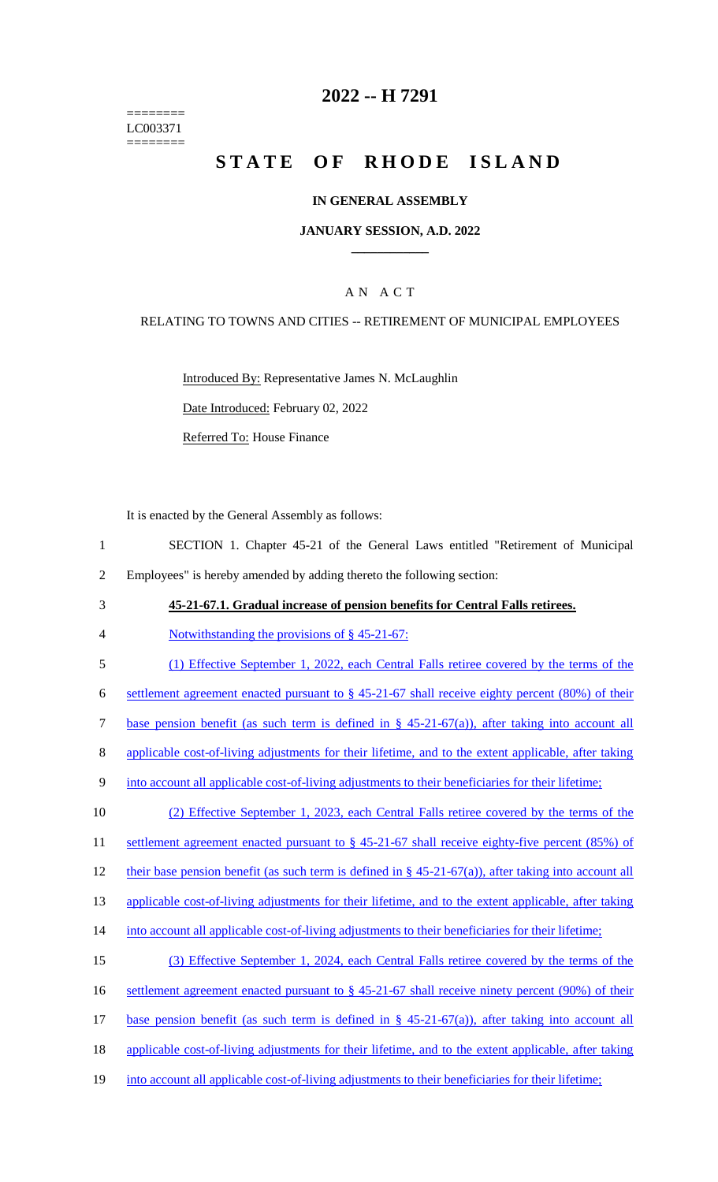======== LC003371 ========

## **2022 -- H 7291**

# **STATE OF RHODE ISLAND**

#### **IN GENERAL ASSEMBLY**

#### **JANUARY SESSION, A.D. 2022 \_\_\_\_\_\_\_\_\_\_\_\_**

### A N A C T

#### RELATING TO TOWNS AND CITIES -- RETIREMENT OF MUNICIPAL EMPLOYEES

Introduced By: Representative James N. McLaughlin

Date Introduced: February 02, 2022

Referred To: House Finance

It is enacted by the General Assembly as follows:

- 1 SECTION 1. Chapter 45-21 of the General Laws entitled "Retirement of Municipal 2 Employees" is hereby amended by adding thereto the following section:
- 3 **45-21-67.1. Gradual increase of pension benefits for Central Falls retirees.**
- 4 Notwithstanding the provisions of § 45-21-67:
- 5 (1) Effective September 1, 2022, each Central Falls retiree covered by the terms of the

6 settlement agreement enacted pursuant to  $\S$  45-21-67 shall receive eighty percent (80%) of their

7 base pension benefit (as such term is defined in § 45-21-67(a)), after taking into account all

- 8 applicable cost-of-living adjustments for their lifetime, and to the extent applicable, after taking
- 9 into account all applicable cost-of-living adjustments to their beneficiaries for their lifetime;

10 (2) Effective September 1, 2023, each Central Falls retiree covered by the terms of the

11 settlement agreement enacted pursuant to § 45-21-67 shall receive eighty-five percent (85%) of

12 their base pension benefit (as such term is defined in § 45-21-67(a)), after taking into account all

13 applicable cost-of-living adjustments for their lifetime, and to the extent applicable, after taking

- 14 into account all applicable cost-of-living adjustments to their beneficiaries for their lifetime;
- 15 (3) Effective September 1, 2024, each Central Falls retiree covered by the terms of the 16 settlement agreement enacted pursuant to § 45-21-67 shall receive ninety percent (90%) of their 17 base pension benefit (as such term is defined in § 45-21-67(a)), after taking into account all 18 applicable cost-of-living adjustments for their lifetime, and to the extent applicable, after taking
- 19 into account all applicable cost-of-living adjustments to their beneficiaries for their lifetime;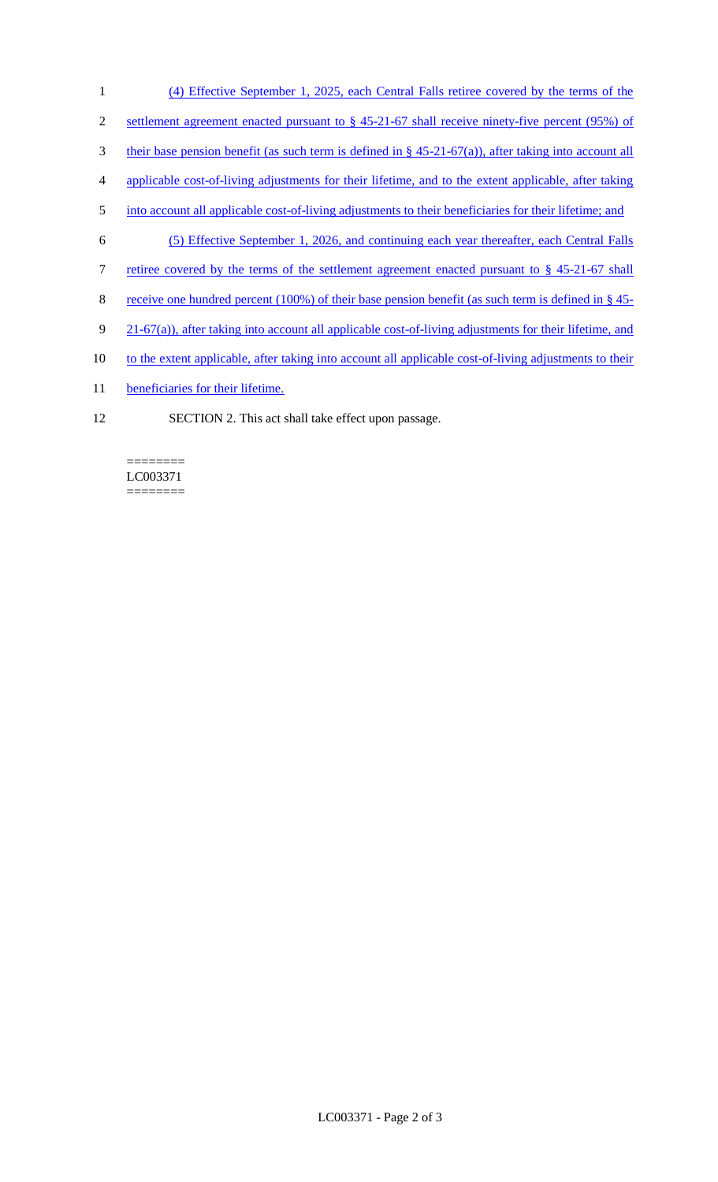- 1 (4) Effective September 1, 2025, each Central Falls retiree covered by the terms of the 2 settlement agreement enacted pursuant to § 45-21-67 shall receive ninety-five percent (95%) of 3 their base pension benefit (as such term is defined in § 45-21-67(a)), after taking into account all 4 applicable cost-of-living adjustments for their lifetime, and to the extent applicable, after taking 5 into account all applicable cost-of-living adjustments to their beneficiaries for their lifetime; and 6 (5) Effective September 1, 2026, and continuing each year thereafter, each Central Falls 7 retiree covered by the terms of the settlement agreement enacted pursuant to § 45-21-67 shall 8 receive one hundred percent (100%) of their base pension benefit (as such term is defined in § 45-9 21-67(a)), after taking into account all applicable cost-of-living adjustments for their lifetime, and 10 to the extent applicable, after taking into account all applicable cost-of-living adjustments to their
- 11 beneficiaries for their lifetime.
- 12 SECTION 2. This act shall take effect upon passage.

======== LC003371 ========